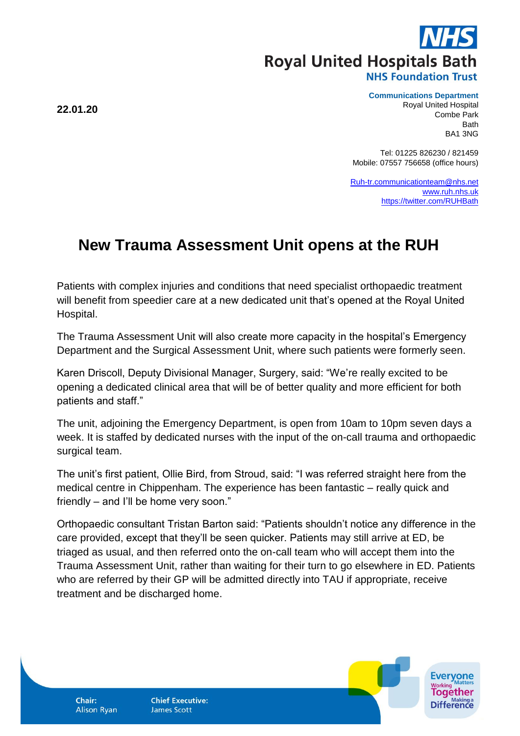**Royal United Hospitals Bath NHS Foundation Trust** 

## **Communications Department**

Royal United Hospital Combe Park Bath BA1 3NG

Tel: 01225 826230 / 821459 Mobile: 07557 756658 (office hours)

[Ruh-tr.communicationteam@nhs.net](mailto:Ruh-tr.communicationteam@nhs.net) [www.ruh.nhs.uk](http://www.ruh.nhs.uk/) <https://twitter.com/RUHBath>

## **New Trauma Assessment Unit opens at the RUH**

Patients with complex injuries and conditions that need specialist orthopaedic treatment will benefit from speedier care at a new dedicated unit that's opened at the Royal United Hospital.

The Trauma Assessment Unit will also create more capacity in the hospital's Emergency Department and the Surgical Assessment Unit, where such patients were formerly seen.

Karen Driscoll, Deputy Divisional Manager, Surgery, said: "We're really excited to be opening a dedicated clinical area that will be of better quality and more efficient for both patients and staff."

The unit, adjoining the Emergency Department, is open from 10am to 10pm seven days a week. It is staffed by dedicated nurses with the input of the on-call trauma and orthopaedic surgical team.

The unit's first patient, Ollie Bird, from Stroud, said: "I was referred straight here from the medical centre in Chippenham. The experience has been fantastic – really quick and friendly – and I'll be home very soon."

Orthopaedic consultant Tristan Barton said: "Patients shouldn't notice any difference in the care provided, except that they'll be seen quicker. Patients may still arrive at ED, be triaged as usual, and then referred onto the on-call team who will accept them into the Trauma Assessment Unit, rather than waiting for their turn to go elsewhere in ED. Patients who are referred by their GP will be admitted directly into TAU if appropriate, receive treatment and be discharged home.

**22.01.20**

**Chair: Alison Ryan**  **Chief Executive: James Scott**